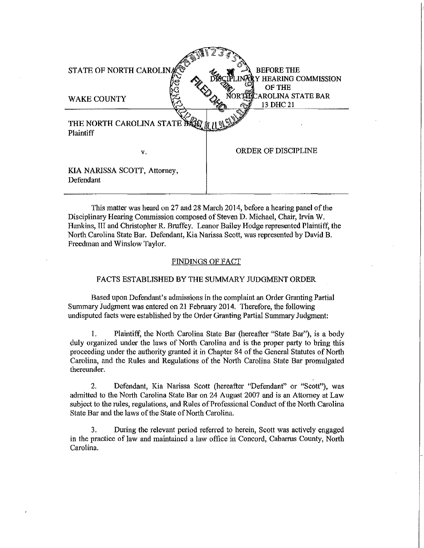| STATE OF NORTH CAROLINA                        | <b>BEFORE THE</b><br><b>HEARING COMMISSION</b> |
|------------------------------------------------|------------------------------------------------|
| <b>WAKE COUNTY</b>                             | OF THE<br>AROLINA STATE BAR<br>13 DHC 21       |
| THE NORTH CAROLINA STATE D<br><b>Plaintiff</b> |                                                |
| v.                                             | ORDER OF DISCIPLINE                            |
| KIA NARISSA SCOTT, Attorney,<br>Defendant      |                                                |

This matter was heard on 27 and 28 March 2014, before a hearing panel of the Disciplinary Hearing Commission composed of Steven D. Michael, Chair, Irvin W. Hankins, III and Christopher R. Bruffey. Leanor Bailey Hodge represented Plaintiff, the North Carolina State Bar. Defendant, Kia Narissa Scott, was represented by David B. Freedman and Winslow Taylor.

#### FINDINGS OF FACT

#### FACTS ESTABLISHED BY THE SUMMARY JUDGMENT ORDER

Based upon Defendant's admissions in the complaint an Order Granting Partial Summary Judgment was entered on 21 February 2014. Therefore, the following undisputed facts were established by the Order Granting Partial Summary Judgment:

1. Plaintiff, the North Carolina State Bar (hereafter "State Bar"), is a body duly organized under the laws of North Carolina and is the proper party to bring this proceeding under the authority granted it in Chapter 84 of the General Statutes of North Carolina, and the Rules and Regulations of the North Carolina State Bar promulgated thereunder.

2. Defendant, Kia Narissa Scott (hereafter "Defendant" or "Scott"), was admitted to the North Carolina State Bar on 24 August 2007 and is an Attorney at Law subject to the rules, regulations, and Rules of Professional Conduct of the North Carolina State Bar and the laws of the State of North Carolina.

3. During the relevant period referred to herein, Scott was actively engaged in the practice of law and maintained a law office in Concord, Cabarrus County, North Carolina.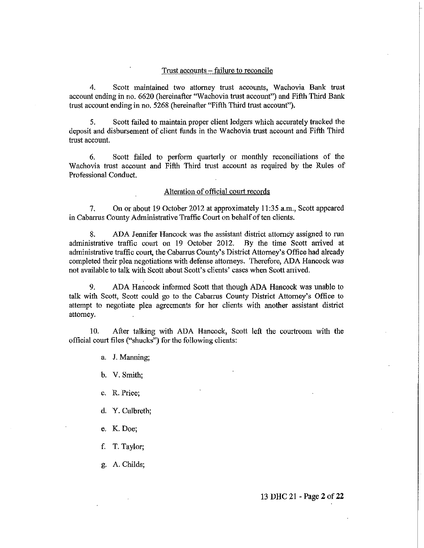#### Trust accounts – failure to reconcile

4. Scott maintained two attorney trust accounts, Wachovia Bank trust account ending in no. 6620 (hereinafter "Wachovia trust account") and Fifth Third Bank trust account ending in no. 5268 (hereinafter "Fifth Third trust account").

5. Scott failed to maintain proper client ledgers which accurately tracked the deposit and disbursement of client funds in the Wachovia trust account and Fifth Third trust account.

6. Scott failed to perform quarterly or monthly reconciliations of the Wachovia trust account and Fifth Third trust account as required by the Rules of Professional Conduct.

## Alteration of official court records

7. On or about 19 October 2012 at approximately 11:35 a.m., Scott appeared in Cabarrus County Administrative Traffic Court on behalf of ten clients.

8. ADA Jennifer Hancock was the assistant district attorney assigned to run administrative traffic court on 19 October 2012. By the time Scott arrived at administrative traffic court, the Cabarrus County's District Attorney's Office had already completed their plea negotiations with defense attorneys. Therefore, ADA Hancock was not available to talk with Scott about Scott's clients' cases when Scott arrived.

9. ADA Hancock informed Scott that though ADA Hancock was unable to talk with Scott, Scott could go to the Cabarrus County District Attorney's Office to attempt to negotiate plea agreements for her clients with another assistant district attorney.

10. After talking with ADA Hancock, Scott left the courtroom with the official court files ("shucks") for the following clients:

a. J. Manning;

b. V. Smith;

c. R. Price;

- d. Y. Culbreth;
- e. K. Doe;
- f. T. Taylor;
- g. A. Childs;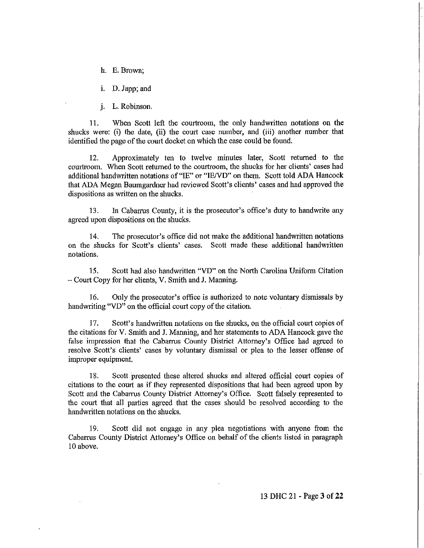h. E. Brown;

i. D. Japp; and

j. L. Robinson.

11. When Scott left the courtroom, the only handwritten notations on the shucks were: (i) the date, (ii) the court case number, and (iii) another number that identified the page of the court docket on which the case could be found.

12. Approximately ten to twelve minutes later, Scott returned to the courtroom. When Scott returned to the courtroom, the shucks for her clients' cases had additional handwritten notations of "IE" or "IEND" on them. Scott told ADA Hancock that ADA Megan Baumgardner had reviewed Scott's clients' cases and had approved the dispositions as written on the shucks.

13. In Cabarrus County, it is the prosecutor's office's duty to handwrite any agreed upon dispositions on the shucks.

14. The prosecutor's office did not make the additional handwritten notations on the shucks for Scott's clients' cases. Scott made these additional handwritten notations.

15. Scott had also handwritten "VD" on the North Carolina Uniform Citation - Court Copy for her clients, V. Smith and J. Manning.

16. Only the prosecutor's office is authorized to note voluntary dismissals by handwriting "VD" on the official court copy of the citation.

17. Scott's handwritten notations on the shucks, on the official court copies of the citations for V. Smith and J. Manning, and her statements to ADA Hancock gave the false impression that the Cabarrus County District Attorney's Office had agreed to resolve Scott's clients' cases by voluntary dismissal or plea to the lesser offense of improper equipment.

18. Scott presented these altered shucks and altered official court copies of citations to the court as if they represented dispositions that had been agreed upon by Scott and the Cabarrus County District Attorney's Office. Scott falsely represented to the court that all parties agreed that the cases should be resolved according to the handwritten notations on the shucks.

19. Scott did not engage in any plea negotiations with anyone from the Cabarrus County District Attorney's Office on behalf of the clients listed in paragraph 10 above.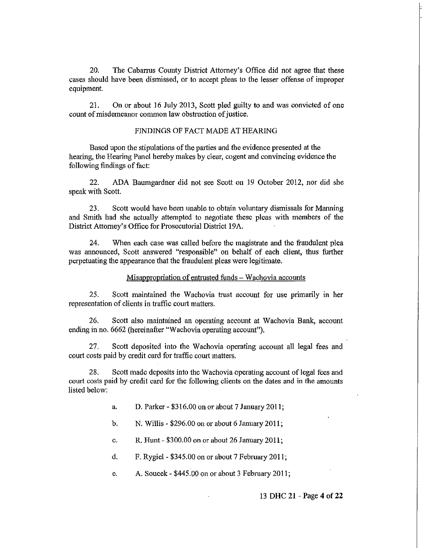20. The Cabarrus County District Attorney's Office did not agree that these cases should have been dismissed, or to accept pleas to the lesser offense of improper equipment.

21. On or about 16 July 2013, Scott pled guilty to and was convicted of one count of misdemeanor common law obstruction of justice.

# FlNDlNGS OF FACT MADE AT HEARlNG

Based upon the stipulations of the parties and the evidence presented at the hearing, the Hearing Panel hereby makes by clear, cogent and convincing evidence the following findings of fact:

22. ADA Baumgardner did not see Scott on 19 October 2012, nor did she speak with Scott.

23. Scott would have been unable to obtain volnntary dismissals for Manning and Smith had she actually attempted to negotiate these pleas with members of the District Attorney's Office for Prosecutorial District 19A.

24. When each case was called before the magistrate and the fraudulent plea was annonnced, Scott answered "responsible" on behalf of each client, thus further perpetuating the appearance that the fraudulent pleas were legitimate.

## Misappropriation of entrusted funds – Wachovia accounts

25. Scott maintained the Wachovia trust account for use primarily in her representation of clients in traffic court matters.

26. Scott also maintained an operating account at Wachovia Bank, account ending in no. 6662 (hereinafter "Wachovia operating account").

27. Scott deposited into the Wachovia operating account all legal fees and court costs paid by credit card for traffic court matters.

28. Scott made deposits into the Wachovia operating account of legal fees and court costs paid by credit card for the following clients on the dates and in the amonnts listed below:

a. D. Parker - \$316.00 on or about 7 January 2011;

b. N. Willis - \$296.00 on or about 6 January 2011;

c. R. Hunt - \$300.00 on or about 26 January 2011;

d. F. Rygiel - \$345.00 on or about 7 February 2011;

e. A. Soucek - \$445.00 on or about 3 February 2011;

#### 13 DHC 21 - Page 4 of **22**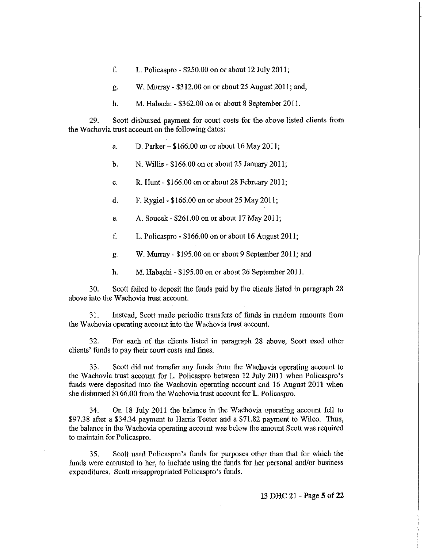- f. L. Policaspro \$250.00 on or about 12 July 2011;
- g. W. Murray \$312.00 on or about 25 August 2011; and,
- h. M. Habachi \$362.00 on or about 8 September 2011.

29. Scott disbursed payment for court costs for the above listed clients from the Wachovia trust account on the following dates:

- a. D. Parker  $-$  \$166.00 on or about 16 May 2011;
- b. N. Willis \$166.00 on or about 25 January 2011;
- c. R. Hunt \$166.00 on or about 28 February 2011;
- d. F. Rygiel- \$166.00 on or about 25 May 2011;
- e. A. Soucek \$261.00 on or about 17 May 2011;
- f. L. Policaspro \$166.00 on or about 16 August 2011;
- g. W. Murray \$195.00 on or about 9 September 2011; and
- h. M. Habachi \$195.00 on or about 26 September 2011.

30. Scott failed to deposit the funds paid by the clients listed in paragraph 28 above into the Wachovia trust account.

31. Instead, Scott made periodic transfers of funds in random amounts from the Wachovia operating account into the Wachovia trust account.

32. For each of the clients listed in paragraph 28 above, Scott used other clients' funds to pay their court costs and fines.

33. Seatt did not transfer any funds from the Wachovia operating account to the Wachovia trust account for L. Polieaspro between 12 July 2011 when Policaspro's funds were deposited into the Wachovia operating account and 16 August 2011 when she disbursed \$166.00 from the Wachovia trust account for L. Policaspro.

34. On 18 July 2011 the balance in the Wachovia operating account fell to \$97.38 after a \$34.34 payment to Harris Teeter and a \$71.82 payment to Wileo. Thus, the balance in the Wachovia operating account was below the amount Scott was required to maintain for Policaspro.

35. Scott used Policaspro's funds for purposes other than that for which the funds were entrusted to her, to include using the funds for her personal and/or business expenditures. Scott misappropriated Policaspro's funds.

13 **DHC** 21 - Page 5 of **22**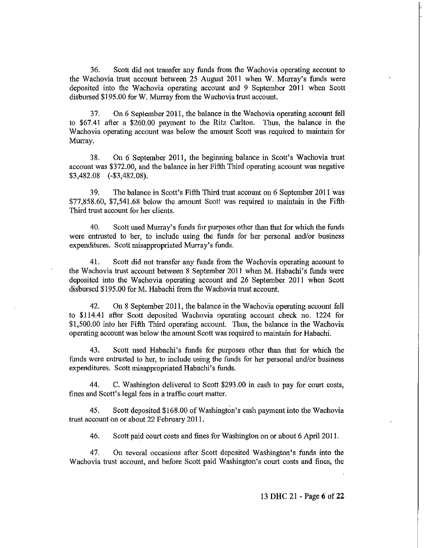36. Scott did not transfer any funds from the Wachovia operating account to the Wachovia trust account between 25 August 2011 when W. Murray's funds were deposited into the Wachovia operating account and 9 September 2011 when Scott disbursed \$195.00 for W. Murray from the Wachovia trust account.

37. On 6 September 2011, the balance in the Wachovia operating account fell to \$67.41 after a \$260.00 payment to the Ritz Carlton. Thus, the balance in the Wachovia operating account was below the amount Scott was required to maintain for Murray.

38. On 6 September 2011, the beginning balance in Scott's Wachovia trust account was \$372.00, and the balance in her Fifth Third operating account was negative \$3,482.08 (-\$3,482.08).

39. The balance in Scott's Fifth Third trust account on 6 September 2011 was \$77,858.60, \$7,541.68 below the amount Scott was required to maintain in the Fifth Third trust account for her clients.

40. Scott used Murray's funds for purposes other than that for which the funds were entrusted to her, to include using the funds for her personal and/or business expenditures. Scott misappropriated Murray's funds.

41. Scott did not transfer any funds from the Wachovia operating account to the Wachovia trust account between 8 September 2011 when M. Habachi's funds were deposited into the Wachovia operating account and 26 September 2011 when Scott disbursed \$195.00 for M. Habachi from the Wachovia trust account.

42. On 8 September 2011, the balance in the Wachovia operating account fell to \$114.41 after Scott deposited Wachovia operating account check no. 1224 for \$1,500.00 into her Fifth Third operating account. Thus, the balance in the Wachovia operating account was below the amount Scott was required to maintain for Habachi.

43. Scott used Habachi's funds for purposes other than that for which the funds were entrusted to her, to include using the funds for her personal and/or business expenditures. Scott misappropriated Habachi's funds.

44. C. Washington delivered to Scott \$293.00 in cash to pay for court costs, fines and Scott's legal fees in a traffic court matter.

45. Scott deposited \$168.00 of Washington's cash payment into the Wachovia trust account on or about 22 February 2011.

46. Scott paid court costs and fines for Washington on or about 6 April 2011.

47. On several occasions after Scott deposited Washington's funds into the Wachovia trust account, and before Scott paid Washington's court costs and fines, the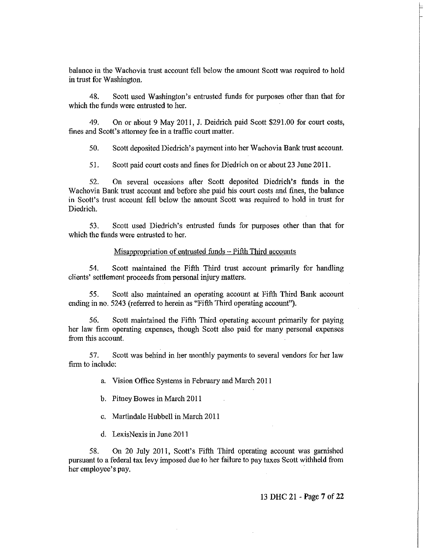balance in the Wachovia trust account fell below the amount Scott was required to hold in trust for Washington.

48. Scott used Washington's entrusted funds for purposes other than that for which the funds were entrusted to her.

49. On or about 9 May 2011, J. Deidrich paid Scott \$291.00 for court costs, fines and Scott's attorney fee in a traffic court matter.

50. Scott deposited Diedrich's payment into her Wachovia Bank trust account.

51. Scott paid court costs and fines for Diedrich on or about 23 June 2011.

52. On several occasions after Scott deposited Diedrich's funds in the Wachovia Bank trust account and before she paid his court costs and fines, the balance in Scott's trust account fell below the amount Scott was required to hold in trust for Diedrich.

53. Scott used Diedrich's entrusted funds for purposes other than that for which the funds were entrusted to her.

### Misappropriation of entrusted funds - Fifth Third accounts

54. Scott maintained the Fifth Third trust account primarily for handling clients' settlement proceeds from personal injury matters.

55. Scott also maintained an operating account at Fifth Third Bank account ending in no. 5243 (referred to herein as "Fifth Third operating account").

56. Scott maintained the Fifth Third operating account primarily for paying her law firm operating expenses, though Scott also paid for many personal expenses from this account.

57. Scott was behind in her monthly payments to several vendors for her law firm to include:

a. Vision Office Systems in February and March 2011

b. Pitney Bowes in March 2011

c. Martindale Hubbell in March 2011

d. LexisNexis in June 2011

58. On 20 July 2011, Scott's Fifth Third operating account was garnished pursuant to a federal tax levy imposed due to her failure to pay taxes Scott withheld from her employee's pay.

13 DHC 21 - Page 7 of 22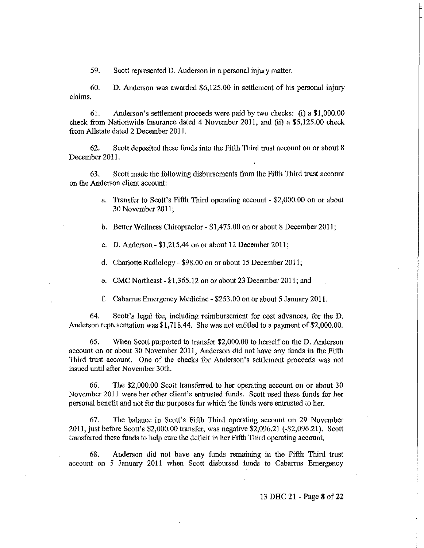59. Scott represented D. Anderson in a personal injury matter.

60. D. Anderson was awarded \$6,125.00 in settlement of his personal injury claims.

61. Anderson's settlement proceeds were paid by two checks: (i) a \$1,000.00 check from Nationwide Insurance dated 4 November 2011, and (ii) a \$5,125.00 check from Allstate dated 2 December 201 1.

62. Scott deposited these funds into the Fifth Third trust account on or about 8 December 2011.

63. Scott made the following disbursements from the Fifth Third trust account on the Anderson client account:

- a. Transfer to Scott's Fifth Third operating account \$2,000.00 on or about 30 November 2011;
- b. Better Wellness Chiropractor \$1,475.00 on or about 8 December 2011;
- c. D. Anderson \$1,215.44 on or about 12 December 2011;
- d. Charlotte Radiology \$98.00 on or about 15 December 2011;
- e. CMC Northeast \$1,365.12 on or about 23 December 2011; and
- t: Cabarrus Emergency Medicine \$253.00 on or about 5 January 2011.

64. Scott's legal fee, including reimbursement for cost advances, for the D. Anderson representation was \$1,718.44. She was not entitled to a payment of \$2,000.00.

65. When Scott purported to transfer \$2,000.00 to herself on the D. Anderson account on or about 30 November 2011, Anderson did not have any funds in the Fifth Third trust account. One of the checks for Anderson's settlement proceeds was not issued until after November 30th.

66. The \$2,000.00 Scott transferred to her operating account on or about 30 November 2011 were her other client's entrusted funds. Scott used these funds for her personal benefit and not for the purposes for which the funds were entrusted to her.

67. The balance in Scott's Fifth Third operating account on 29 November 2011, just before Scott's \$2,000.00 transfer, was negative \$2,096.21 (-\$2,096.21). Scott transferred these funds to help cure the deficit in her Fifth Third operating account.

68. Anderson did not have any funds remaining in the Fifth Third trust account on 5 January 2011 when Scott disbursed funds to Cabarrus Emergency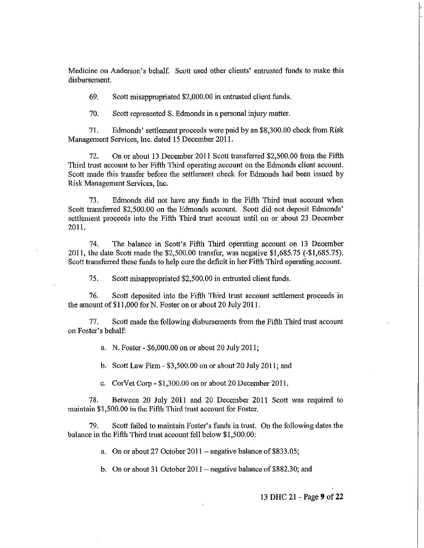Medicine on Anderson's behalf. Scott used other clients' entrusted funds to make this disbursement.

69. Scott misappropriated \$2,000.00 in entrusted client funds.

70. Scott represented S. Edmonds in a personal injury matter.

71. Edmonds' settlement proceeds were paid by an \$8,300.00 check from Risk Management Services, Inc. dated 15 December 2011.

72. On or about 13 December 2011 Scott transferred \$2,500.00 from the Fifth Third trust account to her Fifth Third operating account on the Edmonds client account. Scott made this transfer before the settlement check for Edmonds had been issued by Risk Management Services, Inc.

73. Edmonds did not have any funds in the Fifth Third trust account when Scott transferred \$2,500.00 on the Edmonds account. Scott did not deposit Edmonds' settlement proceeds into the Fifth Third trust account until on or about 23 December 2011.

74. The balance in Scott's Fifth Third operating account on 13 December 201 I, the date Scott made the \$2,500.00 transfer, was negative \$1,685.75 (-\$1,685.75). Scott transferred these funds to help cure the deficit in her Fifth Third operating account.

75. Scott misappropriated \$2,500.00 in entrusted client funds.

76. Scott deposited into the Fifth Third trust account settlement proceeds in the amount of \$11,000 for N. Foster on or about 20 July 2011.

77. Scott made the following disbursements from the Fifth Third trust account on Foster's behalf:

a. N. Foster - \$6,000.00 on or about 20 July 201 1;

b. Scott Law Firm  $-$  \$3,500.00 on or about 20 July 2011; and

c. CorVet Corp - \$1,300.00 on or about 20 December 2011.

78. Between 20 July 2011 and 20 December 2011 Scott was required to maintain \$1,500.00 in the Fifth Third trust account for Foster.

79. Scott failed to maintain Foster's funds iu trust. On the following dates the balance in the Fifth Third trust account fell below \$1,500.00:

a. On or about 27 October  $2011$  – negative balance of \$833.05;

b. On or about 31 October  $2011$  – negative balance of \$882.30; and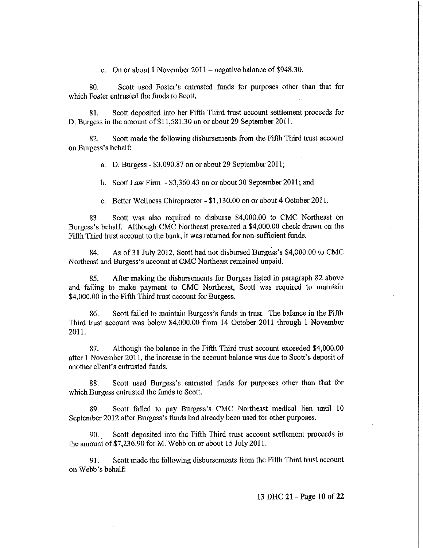c. On or about 1 November  $2011$  – negative balance of \$948.30.

80. Scott used Foster's entrusted funds for purposes other than that for which Foster entrusted the funds to Scott.

81. Scott deposited into her Fifth Third trust account settlement proceeds for D. Burgess in the amount of \$11,581.30 on or about 29 September 2011.

82. Scott made the following disbursements from the Fifth Third trust account on Burgess's behalf:

a. D. Burgess - \$3,090.87 on or about 29 September 2011;

b. Scott Law Firm - \$3,360.43 on or about 30 September 2011; and

c. Better Wellness Chiropractor - \$1,130.00 on or about 4 October 2011.

83. Scott was also required to disburse \$4,000.00 to CMC Northeast on Burgess's behalf. Although CMC Northeast presented a \$4,000.00 check drawn on tbe Fifth Third trust account to the bank, it was returned for non-sufficient funds.

84. As of 31 July 2012, Scott had not disbursed Burgess's \$4,000.00 to CMC Northeast and Burgess's account at CMC Northeast remained unpaid.

85. After making the disbursements for Burgess listed in paragraph 82 above and failing to make payment to CMC Northeast, Scott was required to maintain \$4,000.00 in the Fifth Third trust account for Burgess.

86. Scott failed to maintain Burgess's funds in trust. The balance in the Fifth Third trust account was below \$4,000.00 from 14 October 2011 through 1 November 2011.

87. Although the balance in the Fifth Third trust account exceeded \$4,000.00 after 1 November 2011, the increase in the account balance was due to Scott's deposit of another client's entrusted funds.

88. Scott used Burgess's entrusted funds for purposes other than that for which Burgess entrusted the funds to Scott.

89. Scott failed to pay Burgess's CMC Northeast medical lien until 10 September 2012 after Burgess's funds had already been used for other purposes.

90. \_ Scott deposited into the Fifth Third tmst account settlement proceeds in the amount of \$7,236.90 for M. Webb on or about 15 July 2011.

91. Scott made the following disbursements from the Fifth Third trust account on Webb's behalf:

13 DHC 21 - Page **10 of 22**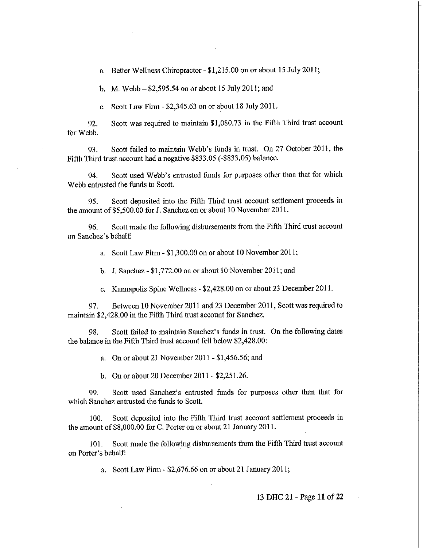a. Better Wellness Chiropractor - \$1,215.00 on or about 15 July 2011;

b. M. Webb - \$2,595.54 on or about 15 July 2011; and

c. Scott Law Firm - \$2,345.63 on or about 18 July 2011.

92. Scott was required to maintain \$1,080.73 in the Fifth Third trust account for Webb.

93. Scott failed to maintain Webb's funds in trust. On 27 October 2011, the Fifth Third trust account had a negative \$833.05 (-\$833.05) balance.

94. Scott used Webb's entrusted funds for purposes other than that for which Webb entrusted the funds to Scott.

95. Scott deposited into the Fifth Third trust account settlement proceeds in the amount of \$5,500.00 for J. Sanchez on or about 10 November 2011.

96. Scott made the following disbursements from the Fifth Third trust account on Sanchez's behalf:

a. Scott Law Firm - \$1,300.00 on or about 10 November 2011;

b. J. Sanchez - \$1,772.00 on Of about 10 November 2011; and

c. Kannapolis Spine Wellness - \$2,428.00 on or about 23 December 2011.

97. Between 10 November 2011 and 23 December 2011, Scott was required to maintain \$2,428.00 in the Fifth Third trust account for Sanchez.

98. Scott failed to maintain Sanchez's funds in trust. On the following dates the balance in the Fifth Third trust account fell below \$2,428.00:

a. On or about 21 November 2011 - \$1,456.56; and

b. On or about 20 December 2011 - \$2,251.26.

99. Scott used Sanchez's entrusted funds for purposes other than that for which Sanchez entrusted the funds to Scott.

100. Scott deposited into the Fifth Third trust account settlement proceeds in the amount of\$8,000.00 for C. Porter on or about 21 January 2011.

101. Scott made the following disbursements from the Fifth Third trust account on Porter's behalf: .

a. Scott Law Firm - \$2,676.66 on or about 21 January 2011;

13 DHC 21- Page 11 of 22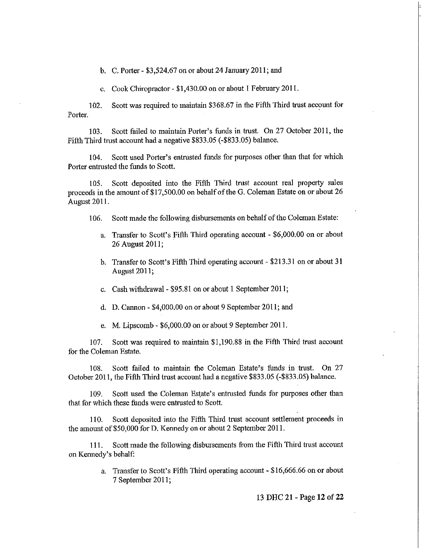b. C. Porter - \$3,524.67 on or about 24 January 2011; and

c. Cook Chiropractor - \$1,430.00 on or about I February 2011.

102. Scott was required to maintain \$368.67 in the Fifth Third trust account for Porter.

103. Scott failed to maintain Porter's funds in trust. On 27 October 2011, the Fifth Third trust account had a negative \$833.05 (-\$833.05) balance.

104. Scott used Porter's entrusted funds for purposes other than that for which Porter entrusted the funds to Scott.

105. Scott deposited into the Fifth Third trust account real property sales proceeds in the amount of\$17,500.00 on behalf of the G. Coleman Estate on or about 26 August 2011.

106. Scott made the following disbursements on behalf of the Coleman Estate:

- a. Transfer to Scott's Fifth Third operating account \$6,000.00 on or about 26 August 2011;
- b. Transfer to Scott's Fifth Third operating account \$213.31 on or about 31 August 2011;
- c. Cash withdrawal- \$95.81 on or about 1 September 2011;
- d. D. Cannon \$4,000.00 on or about 9 September 2011; and
- e. M. Lipscomb \$6,000.00 on or about 9 September 2011.

107. Scott was required to maintain \$1,190.88 in the Fifth Third trust account for the Coleman Estate.

108. Scott failed to maintain the Coleman Estate's funds in trust. On 27 October 2011, the Fifth Third trust account had a negative \$833.05 (-\$833.05) balance.

109. Scott used the Coleman Estate's entrusted funds for purposes other than that for which these funds were entrusted to Scott.

110. Scott deposited into the Fifth Third trust account settlement proceeds in the amount of \$50,000 for D. Kennedy on or about 2 September 2011.

111. Scott made the following disbursements from the Fifth Third trust account on Kennedy's behalf:

> a. Transfer to Scott's Fifth Third operating account - \$16,666.66 on or about 7 September 2011;

> > 13 DHC 21 - Page **12 of 22**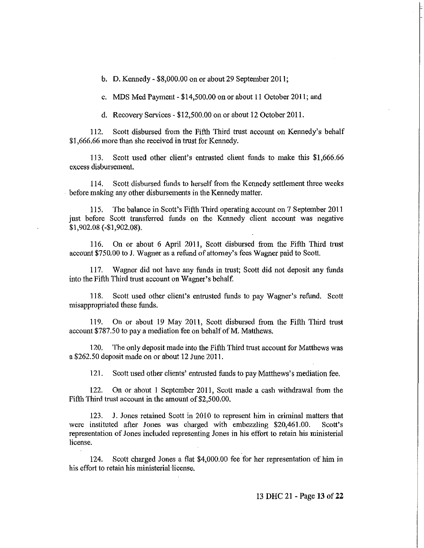h. D. Kennedy - \$8,000.00 on or about 29 September 2011;

c. MDS Med Payment - \$14,500.00 on or about 11 October 2011; and

d. Recovery Services - \$12,500.00 on or about 12 October 2011.

112. Scott disbursed from the Fifth Third trust account on Kennedy's behalf \$1,666.66 more than she received in trust for Kennedy.

113. Scott used other client's entrusted client funds to make this \$1,666.66 excess disbursement.

114. Scott disbursed funds to herself from the Kennedy settlement three weeks . hefore making any other disbursements in the Kennedy matter.

115. The balance in Scott's Fifth Third operating account on 7 September 2011 just before Scott transferred funds on the Kennedy client account was negative \$1,902.08 (-\$1,902.08).

116. On or about 6 April 2011, Scott disbursed from the Fifth Third trust account \$750.00 to J. Wagner as a refund of attorney's fees Wagner paid to Scott.

117. Wagner did not have any funds in trust; Scott did not deposit any funds into the Fifth Third trust account on Wagner's behalf.

118. Scott used other client's entrusted funds to pay Wagner's refund. Scott misappropriated these funds.

119. On or about 19 May 2011, Scott disbursed from the Fifth Third trust account \$787.50 to pay a mediation fee on behalf of M. Matthews.

120. The only deposit made into the Fifth Third trust account for Matthews was a \$262.50 deposit made on or about 12 June 2011.

121. Scott used other clients' entrusted funds to pay Matthews's mediation fee.

122. On or about I September 2011, Scott made a cash withdrawal from the Fifth Third trust account in the amount of \$2,500.00.

123. J. Jones retaiued Scott in 2010 to represent him in criminal matters that were instituted after Jones was charged with embezzling \$20,461.00. Scott's representation of Jones included representing Jones in his effort to retain his ministerial license.

124. Scott charged Jones a flat \$4,000.00 fee for her representation of him in his effort to retain his ministerial license.

13 DHC 21 - Page **13 of 22**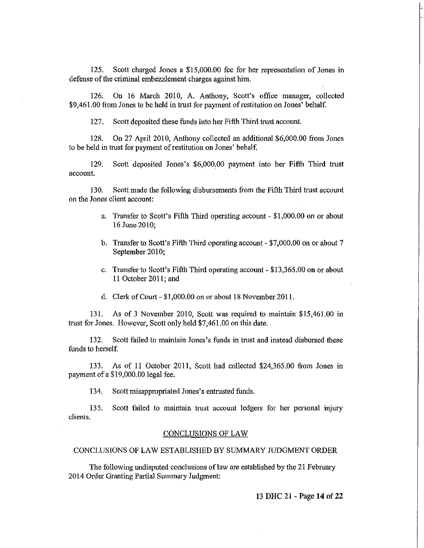125. Scott charged Jones a \$15,000.00 fee for her representation of Jones in defense of the criminal embezzlement charges against him.

126. On 16 March 2010, A. Anthony, Scott's office manager, collected \$9,461.00 from Jones to be held in trust for payment of restitution on Jones' behalf.

127. Scott deposited these funds into her Fifth Third trust account.

128. On 27 April 2010, Anthony collected an additional \$6,000.00 from Jones to be held in trust for payment of restitution on Jones' behalf.

129. Scott deposited Jones's \$6,000,00 payment into her Fifth Third trust account.

130. Scott made the following disbursements from the Fifth Third trust account on the Jones client account:

- a. Transfer to Scott's Fifth Third operating account \$1,000.00 on or about 16 June 2010;
- b. Transfer to Scott's Fifth Third operating account \$7,000.00 on or about 7 September 2010;
- c. Transfer to Scott's Fifth Third operating account \$13,365.00 on or about 11 October 2011; and
- d. Clerk of Court \$1,000.00 on or about 18 November 2011.

131. As of 3 November 2010, Scott was required to maintain \$15,461.00 in trust for Jones. However, Scott only held \$7,461.00 on this date.

132. Scott failed to maintain Jones's funds in trust and instead disbursed these funds to herself.

133. As of 11 October 2011, Scott had collected \$24,365.00 from Jones in payment of a \$19,000.00 legal fee.

134. Scott misappropriated Jones's entrusted funds.

135. Scott failed to maintain trust account ledgers for her personal injury clients.

#### CONCLUSIONS OF LAW

# CONCLUSIONS OF LAW ESTABLISHED BY SUMMARY JUDGMENT ORDER

The following undisputed conclusions of law are established by the 21 February 2014 Order Granting Partial Summary Judgment:

13 DHC 21 - Page **14 of 22**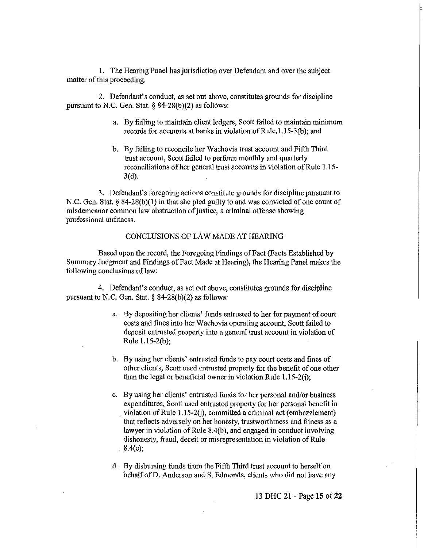I. The Hearing Panel has jurisdiction over Defendant and over the subject matter of this proceeding.

2. Defendant's conduct, as set out above, constitutes grounds for discipline pursuant to N.C. Gen. Stat. § 84-28(b)(2) as follows:

- a. By failing to maintain client ledgers, Scott failed to maintain minimum records for accounts at banks in violation of Rule.I.15-3(b); and
- b. By failing to reconcile her Wachovia trust account and Fifth Third trust account, Scott failed to perform monthly and quarterly reconciliations of her general trust accounts in violation of Rule 1.15- 3(d).

3. Defendant's foregoing actions constitute grounds for discipline pursuant to N.C. Gen. Stat. § 84-28(b)(I) in that she pled guilty to and was convicted of one count of misdemeanor common law obstruction of justice, a criminal offense showing professional unfitness.

# CONCLUSIONS OF LAW MADE AT HEARING

Based upon the record, the Foregoing Findings of Fact (Facts Established by Summary Judgment and Findings of Fact Made at Hearing), the Hearing Panel makes the following conclusions of law:

4. Defendant's conduct, as set out above, constitutes grounds for discipline pursuant to N.C. Gen. Stat. § 84-28(b)(2) as follows:

- a. By depositing her clients' funds entrusted to her for payment of court costs and fines into her Wachovia operating account, Scott failed to deposit entrusted property into a general trust account in violation of  $Rule 1.15-2(b);$
- b. By using her clients' entrusted funds to pay court costs and fines of other clients, .Scott used entrusted property for the benefit of one other than the legal or beneficial owner in violation Rule  $1.15-2(i)$ ;
- c. By using her clients' entrusted funds for her personal and/or business expenditures, Scott used entrusted property for her personal benefit in . violation of Rule *1.15-20),* committed a criminal act (embezzlement) that reflects adversely on her honesty, trustworthiness and fitness as a lawyer in violation of Rule 8.4(b), and engaged in conduct involving dishonesty, fraud, deceit or misrepresentation in violation of Rule  $8.4(c);$
- d. By disbursing funds from the Fifth Third trust account to herself on behalf of D. Anderson and S. Edmonds, clients who did not have any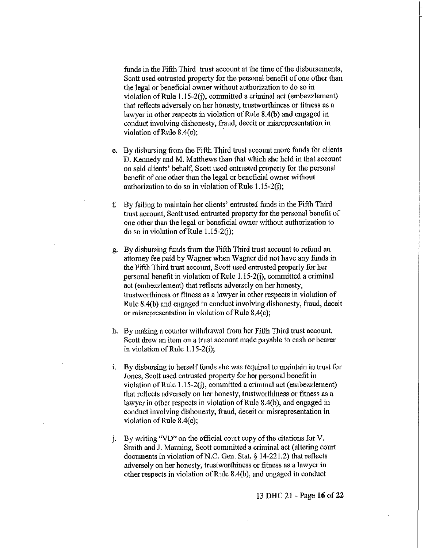funds in the Fifth Third trust account at the time of the disbursements, Scott used entrusted property for the personal benefit of one other than the legal or beneficial owner without authorization to do so in violation of Rule 1.15-2(j), committed a criminal act (embezzlement) that reflects adversely on her honesty, trustworthiness or fitness as a lawyer in other respects in violation of Rule 8.4(b) and engaged in conduct involving dishonesty, fraud, deceit or misrepresentation in violation of Rule 8.4(c); .

- e. By disbursing from the Fifth Third trust account more funds for clients D. Kennedy and M. Matthews than that which she held in that account on said clients' behalf, Scott used entrusted property for the personal benefit of one other than the legal or beneficial owner without authorization to do so in violation of Rule 1.15-2(j);
- f. By failing to maintain her clients' entrusted funds in the Fifth Third trust account, Scott used entrusted property for the personal benefit of one other than the legal or beneficial owner without authorization to do so in violation of Rule 1.15-2(j);
- g. By disbursing funds from the Fifth Third trust account to refund an attorney fee paid by Wagner when Wagner did not have any funds in the Fifth Third trust account, Scott used entrusted property for her personal benefit in violation of Rule 1.15-20), committed a criminal act (embezzlement) that reflects adversely on her honesty, trustworthiness or fitness as a lawyer in other respects in violation of Rule 8.4(b) and engaged in conduct involving dishonesty, fraud, deceit or misrepresentation in violation of Rule 8.4(c);
- h. By making a counter withdrawal from her Fifth Third trust account, Scott drew an item on a trust account made payable to cash or bearer in violation of Rule l.l5-2(i);
- i. By disbursing to herself funds she was required to maintain in trust for Jones, Scott used entrusted property for her personal benefit in violation of Rule 1.15-2(j), committed a criminal act (embezzlement) that reflects adversely on her honesty, trustworthiness or fitness as a lawyer in other respects in violation of Rule 8.4(b), and engaged in conduct involving dishonesty, fraud, deceit or misrepresentation in violation of Rule 8.4(c);
- j. By writing " $VD$ " on the official court copy of the citations for V. Smith and J. Manning, Scott committed a.criminal act (altering court documents in violation of N.C. Gen. Stat. § 14-221.2) that reflects adversely on her honesty, trustworthiness or fitness as a lawyer in other respects in violation of Rule 8.4(b), and engaged in conduct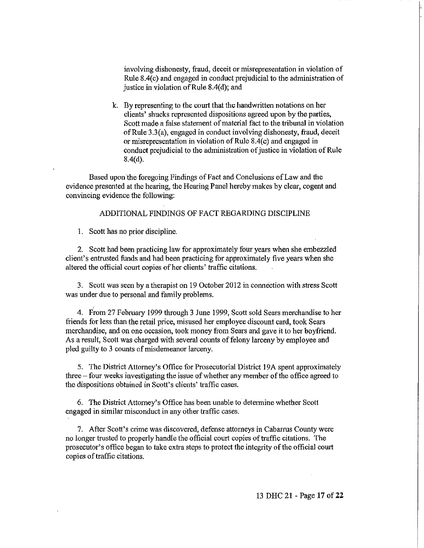involving dishonesty, fraud, deceit or misrepresentation in violation of Rule 8.4(c) and engaged in conduct prejudicial to the administration of justice in violation of Rule  $8.4(d)$ ; and

k. By representing to the court that the handwritten notations on her clients' shucks represented dispositions agreed upon by the parties, Scott made a false statement of material fact to the tribunal in violation of Rule 3.3(a), engaged in conduct involving dishonesty, fraud, deceit or misrepresentation in violation of Rule 8.4(c) and engaged in conduct prejudicial to the administration of justice in violation of Rule 8.4(d).

Based upon the foregoing Findings of Fact and Conclusions of Law and the evidence presented at the hearing, the Hearing Panel hereby makes by clear, cogent and convincing evidence the following:

# ADDITIONAL FINDINGS OF FACT REGARDING DISCIPLINE

1 . Scott has no prior discipline.

2. Scott had been practicing law for approximately four years when she embezzled client's entrusted funds and had been practicing for approximately five years when she altered the official court copies of her clients' traffic citations.

3. Scott was seen by a therapist on 19 October 2012 in connection with stress Scott was under due to personal and family problems.

4. From 27 February 1999 through 3 June 1999, Scott sold Sears merchandise to her friends for less than the retail price, misused her employee discount card, took Sears merchandise, and on one occasion, took money from Sears and gave it to her boyfriend. As a result, Scott was charged with several counts of felony larceny by employee and pled guilty to 3 counts of misdemeanor larceny.

5. The District Attorney's Office for Prosecutorial District 19A spent approximately three - four weeks investigating the issue of whether any member of the office agreed to the dispositions obtained in Scott's clients' traffic cases.

6. The District Attorney's Office has been unable to determine whether Scott engaged in similar misconduct in any other traffic cases.

7. After Scott's crime was discovered, defense attorneys in Cabarrus County were no longer trusted to properly handle the official court copies of traffic citations. The prosecutor's office began to take extra steps to protect the integrity of the official court copies of traffic citations.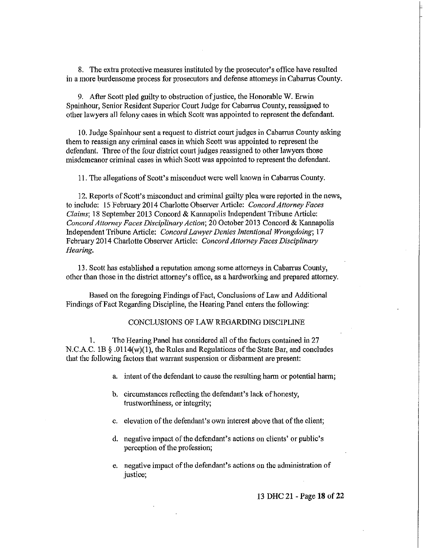8. The extra protective measures instituted by the prosecutor's office have resulted in a more burdensome process for prosecutors and defense attorneys in Cabarrus County.

9. After Scott pled guilty to obstruction of justice, the Honorable W. Erwin Spainhour, Senior Resident Superior Court Judge for Cabarrus County, reassigned to other lawyers all felony cases in which Scott was appointed to represent the defendant.

10. Judge Spainhour sent a request to district court judges in Cabarrus County asking them to reassign any criminal cases in which Scott was appointed to represent the defendant. Three of the four district court judges reassigned to other lawyers those misdemeanor criminal cases in which Scott was appointed to represent the defendant.

II. The allegations of Scott's misconduct were well known in Cabarrus County.

12. Reports of Scott's misconduct and criminal guilty plea were reported in the news, to include: 15 February 2014 Charlotte Observer Article: *Concord Attorney Faces Claims;* 18 September 2013 Concord & Kannapolis Independent Tribune Article: *Concord Attorney Faces Disciplinaty Action;* 20 October 2013 Concord & Kannapolis Independent Tribune Article: *Concord Lawyer Denies Intentional Wrongdoing; 17*  February 2014 Charlotte Observer Article: *Concord Attorney Faces Disciplinary Hearing.* 

13. Scott has established a reputation among some attorneys in Cabarrus County, other than those in the district attomey's office, as a hardworking and prepared attorney.

Based on the foregoing Findings of Fact, Conclusions of Law and Additional Findings of Fact Regarding Discipline, the Hearing Panel enters the following:

# CONCLUSIONS OF LAW REGARDING DISCIPLINE

1. The Hearing Panel has considered all of the factors contained in 27 N.C.A.C. 1B § .0114(w)(I), the Rules and Regulations of the State Bar, and concludes that the following factors that warrant suspension or disbarment are present:

- a. intent of the defendant to cause the resulting harm or potential harm;
- b. circumstances reflecting the defendant's lack of honesty, trustworthiness, or integrity;
- C. elevation of the defendant's own interest above that of the client;
- d. negative impact of the defendant's actions on clients' or public's perception of the profession;
- e. negative impact of the defendant's actions on the administration of justice;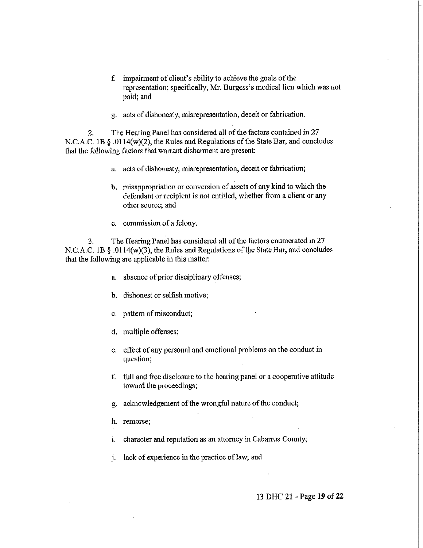- f. impairment of client's ability to achieve the goals of the representation; specifically, Mr. Burgess's medical lien which was not paid; and
- g. acts of dishonesty, misrepresentation, deceit or fabrication.

2. The Hearing Panel has considered all of the factors contained in 27 N.C.A.C. 1B § .Ol14(w)(2), the Rules and Regulations of the State Bar, and concludes that the following factors that warrant disbarment are present:

- a. acts of dishonesty, misrepresentation, deceit or fabrication;
- b. misappropriation or conversion of assets of any kind to which the defendant or recipient is not entitled, whether from a client or any other source; and
- c. commission of a felony.

3. The Hearing Panel has considered all of the factors enumerated in 27 N.C.A.C. 1B  $\S$  .0114(w)(3), the Rules and Regulations of the State Bar, and concludes that the following are applicable in this matter:

- a. absence of prior disciplinary offenses;
- b. dishonest or selfish motive;
- c. pattern of miscondnct;
- d. multiple offenses;
- e. effect of any personal and emotional problems on the conduct in question;
- f. full and free disclosure to the hearing panel or a cooperative attitude toward the proceedings;
- g. acknowledgement of the wrongful nature of the conduct;
- h. remorse;
- i. character and reputation as an attorney in Cabarrus County;
- j. lack of experience in the practice of law; and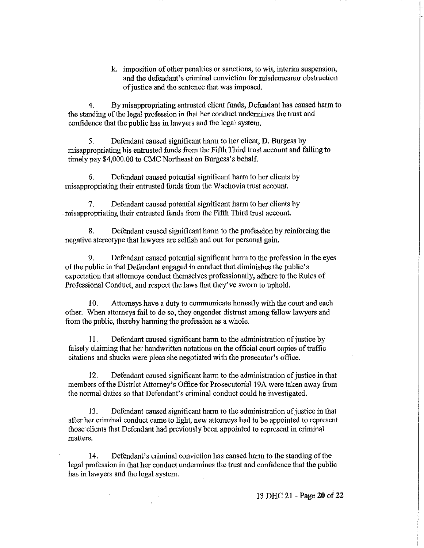k. imposition of other penalties or sanctions, to wit, interim suspension, and the defendant's criminal conviction for misdemeanor obstruction of justice and the sentence that was imposed.

4. By misappropriating entrusted client funds, Defendant has caused harm to the standing of the legal profession in that her conduct undermines the trust and confidence that the public has in lawyers and the legal system.

5. Defendant caused significant hann to her client, D. Burgess by misappropriating his entrusted funds from the Fifth Third trust account and failing to timely pay \$4,000.00 to CMC Northeast on Burgess's behalf.

6. Defendant caused potential significant harm to her clients by misappropriating their entrusted funds from the Wachovia trust account.

7. Defendant caused potential significant harm to her clients by . misappropriating their entrusted funds from the Fifth Third trust account.

8. Defendant caused significant harm to the profession by reinforcing the negative stereotype that lawyers are selfish and out for personal gain.

9. Defendant caused potential significant harm to the profession in the eyes of the public in that Defendant engaged in conduct that diminishes the public's expectation that attorneys conduct themselves professionally, adhere to the Rules of Professional Conduct, and respect the laws that they've sworn to uphold.

10. Attorneys have a duty to communicate honestly with the court and each other. When attorneys fail to do so, they engender distrust among fellow lawyers and from the public, thereby harming the profession as a whole.

11. Defendant caused significant harm to the administration of justice by falsely claiming that her handwritten notations on the official court copies of traffic citations and shucks were pleas she negotiated with the prosecutor's office.

12. Defendant caused significant harm to the administration of justice in that members of the District Attorney's Office for Prosecutorial 19A were taken away from the normal duties so that Defendant's criminal conduct could be investigated.

13. Defendant caused significant harm to the administration of justice in that after her criminal conduct came to light, new attorneys had to be appointed to represent those clients that Defendant had previously been appointed to represent in criminal matters.

14. Defendant's criminal conviction has caused harm to the standing of the legal profession in that her conduct undermines the trust and confidence that the public has in lawyers and the legal system.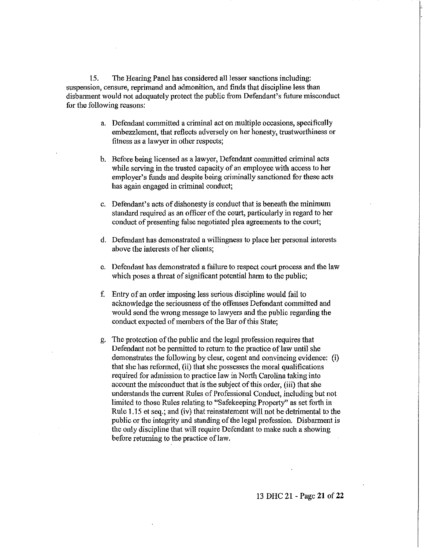15. The Hearing Panel has considered all lesser sanctions including: suspension, censure, reprimand and admonition, and finds that discipline less than disbannent would not adequately protect the public from Defendant's future misconduct for the following reasons:

- a. Defendant committed a criminal act on multiple occasions, specifically embezzlement, that reflects adversely on her honesty, trustworthiness or fitness as a lawyer in other respects;
- b. Before being licensed as a lawyer, Defendant committed criminal acts while serving in the trusted capacity of an employee with access to her employer's funds and despite being criminally sanctioned for these acts has again engaged in criminal conduct;
- c. Defendant's acts of dishonesty is conduct that is beneath the minimum standard required as an officer of the court, particularly in regard to her conduct of presenting false negotiated plea agreements to the court;
- d. Defendant has demonstrated a willingness to place her personal interests above the interests of her clients;
- e. Defendant has demonstrated a failure to respect court process and the law which poses a threat of significant potential harm to the public;
- f. Entry of an order imposing less serious discipline would fail to acknowledge the seriousness of the offenses Defendant committed and would send the wrong message to lawyers and the public regarding the conduct expected of members of the Bar of this State;
- g. The protection of the public and the legal profession requires that Defendant not be permitted to return to the practice of law until she demonstrates the following by clear, cogent and convincing evidence: (i) that she has reformed, (ii) that she possesses the moral qualifications required for admission to practice law in North Carolina taking into account the misconduct that is the subject of this order, (iii) that she understands the current Rules of Professional Conduct, including but not limited to those Rules relating to "Safekeeping Property" as set forth in Rule 1.15 et seq.; and (iv) that reinstatement will not be detrimental to the public or the integrity and standing of the legal profession. Disbarment is the only discipline that will require Defendant to make such a showing before returning to the practice of law.